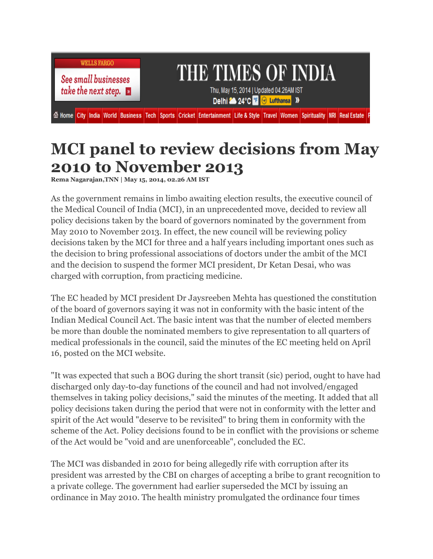

**See small businesses** take the next step.  $\Box$ 

## THE TIMES OF INDIA

Thu, May 15, 2014 | Updated 04.26AM IST Delhi<sup>26</sup> 24°C **Exercise 19** 

6 Home City India World Business Tech Sports Cricket Entertainment Life & Style Travel Women Spirituality NRI Real Estate

## **MCI panel to review decisions from May 2010 to November 2013**

**Rema Nagarajan,TNN | May 15, 2014, 02.26 AM IST**

As the government remains in limbo awaiting election results, the executive council of the Medical Council of India (MCI), in an unprecedented move, decided to review all policy decisions taken by the board of governors nominated by the government from May 2010 to November 2013. In effect, the new council will be reviewing policy decisions taken by the MCI for three and a half years including important ones such as the decision to bring professional associations of doctors under the ambit of the MCI and the decision to suspend the former MCI president, Dr Ketan Desai, who was charged with corruption, from practicing medicine.

The EC headed by MCI president Dr Jaysreeben Mehta has questioned the constitution of the board of governors saying it was not in conformity with the basic intent of the Indian Medical Council Act. The basic intent was that the number of elected members be more than double the nominated members to give representation to all quarters of medical professionals in the council, said the minutes of the EC meeting held on April 16, posted on the MCI website.

"It was expected that such a BOG during the short transit (sic) period, ought to have had discharged only day-to-day functions of the council and had not involved/engaged themselves in taking policy decisions," said the minutes of the meeting. It added that all policy decisions taken during the period that were not in conformity with the letter and spirit of the Act would "deserve to be revisited" to bring them in conformity with the scheme of the Act. Policy decisions found to be in conflict with the provisions or scheme of the Act would be "void and are unenforceable", concluded the EC.

The MCI was disbanded in 2010 for being allegedly rife with corruption after its president was arrested by the CBI on charges of accepting a bribe to grant recognition to a private college. The government had earlier superseded the MCI by issuing an ordinance in May 2010. The health ministry promulgated the ordinance four times